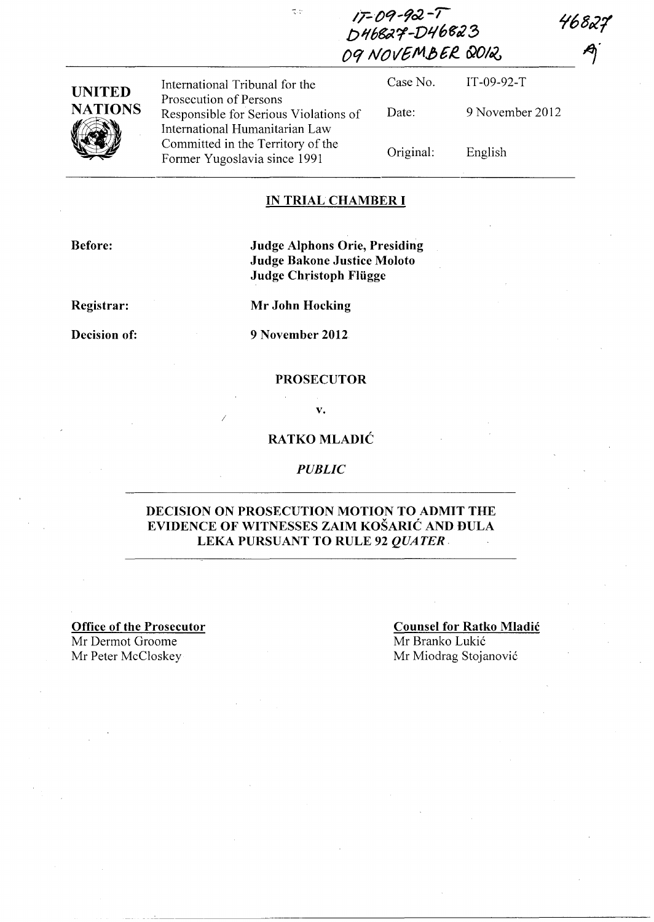*f68P21* 

| $17 - 09 - 92 - 7$<br>T.C<br>D46827-D46823 | 4682; |
|--------------------------------------------|-------|
| 09 NOVEMBER QOIQ                           | A)    |
|                                            |       |

| <b>UNITED</b>   | International Tribunal for the                                                                      | Case No.  | $IT-09-92-T$    |
|-----------------|-----------------------------------------------------------------------------------------------------|-----------|-----------------|
| <b>NATIONS</b>  | Prosecution of Persons<br>Responsible for Serious Violations of                                     | Date:     | 9 November 2012 |
| $\sqrt{\hat{}}$ | International Humanitarian Law<br>Committed in the Territory of the<br>Former Yugoslavia since 1991 | Original: | English         |

 $\frac{1}{\sqrt{2}}$ 

#### **IN TRIAL CHAMBER I**

**Before:** 

### **Judge Alphons Orie, Presiding Judge Bakone Justice Moloto Judge Christoph Fliigge**

**Registrar:** 

**Mr John Hocking** 

**Decision of:** 

**9 November 2012** 

I

#### **PROSECUTOR**

**v.** 

### **RATKO MLADIC**

#### *PUBLIC*

#### **DECISION ON PROSECUTION MOTION TO ADMIT THE EVIDENCE OF WITNESSES ZAIM KOSARIC AND DULA LEKA PURSUANT TO RULE 92** *QUATER.*

**Office of the Prosecutor**  Mr Dermot Groome

## **Counsel for Ratko Mladic**

Mr Branko Lukić Mr Peter McCloskey Mr Miodrag Stojanović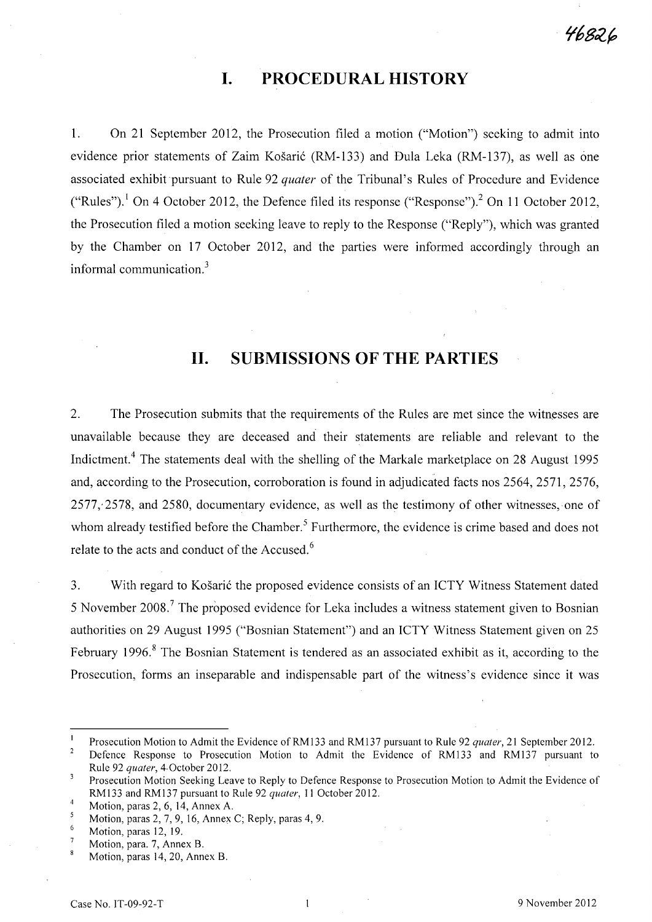# **I. PROCEDURAL HISTORY**

1. On 21 September 2012, the Prosecution filed a motion ("Motion") seeking to admit into evidence prior statements of Zaim Košarić (RM-133) and Dula Leka (RM-137), as well as one associated exhibit pursuant to Rule 92 *quater* of the Tribunal's Rules of Procedure and Evidence ("Rules").<sup>1</sup> On 4 October 2012, the Defence filed its response ("Response").<sup>2</sup> On 11 October 2012, the Prosecution filed a motion seeking leave to reply to the Response ("Reply"), which was granted by the Chamber on 17 October 2012, and the parties were informed accordingly through an informal communication?

## **11. SUBMISSIONS OF THE PARTIES**

2. The Prosecution submits that the requirements of the Rules are met since the witnesses are unavailable because they are deceased and their statements are reliable and relevant to the Indictment.<sup>4</sup> The statements deal with the shelling of the Markale marketplace on 28 August 1995 and, according to the Prosecution, corroboration is found in adjudicated facts nos 2564, 2571, 2576,  $2577$ ;  $2578$ , and  $2580$ , documentary evidence, as well as the testimony of other witnesses, one of whom already testified before the Chamber.<sup>5</sup> Furthermore, the evidence is crime based and does not relate to the acts and conduct of the Accused.<sup>6</sup>

3. With regard to Košarić the proposed evidence consists of an ICTY Witness Statement dated 5 November 2008.<sup>7</sup> The proposed evidence for Leka includes a witness statement given to Bosnian authorities on 29 August 1995 ("Bosnian Statement") and an ICTY Witness Statement given on 25 February 1996.<sup>8</sup> The Bosnian Statement is tendered as an associated exhibit as it, according to the Prosecution, forms an inseparable and indispensable part of the witness's evidence since it was

46826

Prosecution Motion to Admit the Evidence ofRMI33 and RMI37 pursuant to Rule 92 *quater,* 21 September 2012.

 $\overline{2}$ Defence Response to Prosecution Motion to Admit the Evidence of RMI33 and RMI37 pursuant to Rule 92 *quater,* 4· October 2012.

 $\mathbf 3$ Prosecution Motion Seeking Leave to Reply to Defence Response to Prosecution Motion to Admit the Evidence of RMI33 and RMI37 pursuant to Rule 92 *quater,* 11 October 2012.

<sup>4</sup>  Motion, paras 2, 6, 14, Annex A.

<sup>5</sup> Motion, paras 2, 7, 9, 16, Annex C; Reply, paras 4,9.

Motion, paras 12, 19.

Motion, para. 7, Annex B.

Motion, paras 14,20, Annex B.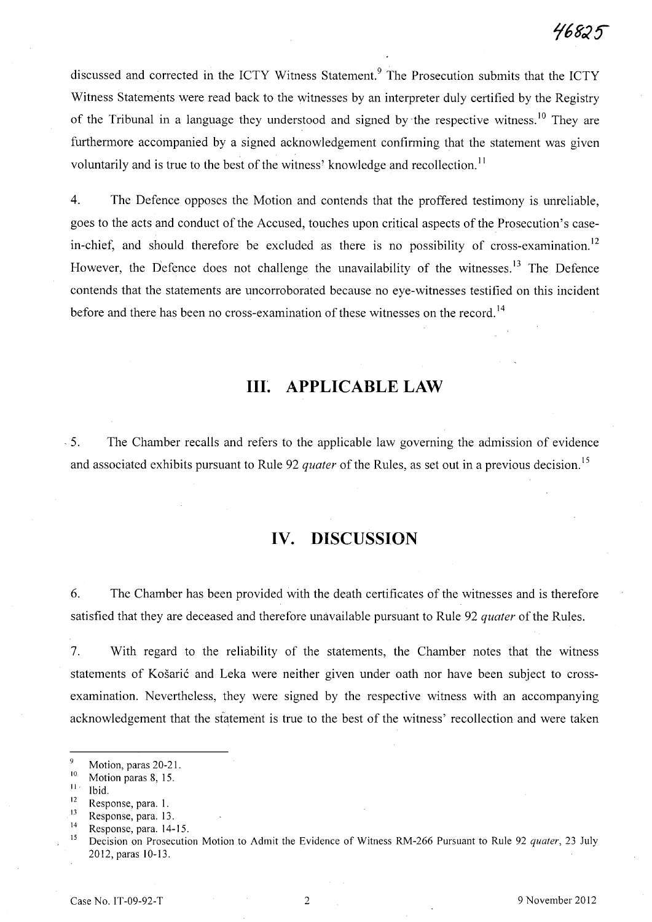discussed and corrected in the ICTY Witness Statement.<sup>9</sup> The Prosecution submits that the ICTY Witness Statements were read back to the witnesses by an interpreter duly certified by the Registry of the Tribunal in a language they understood and signed by the respective witness.<sup>10</sup> They are furthermore accompanied by a signed acknowledgement confirming that the statement was given voluntarily and is true to the best of the witness' knowledge and recollection.<sup>11</sup>

4. The Defence opposes the Motion and contends that the proffered testimony is unreliable, goes to the acts and conduct of the Accused, touches upon critical aspects of the Prosecution's casein-chief, and should therefore be excluded as there is no possibility of cross-examination.<sup>12</sup> However, the Defence does not challenge the unavailability of the witnesses.<sup>13</sup> The Defence contends that the statements are uncorroborated because no eye-witnesses testified on this incident before and there has been no cross-examination of these witnesses on the record.<sup>14</sup>

## III~ **APPLICABLE LAW**

. 5. The Chamber recalls and refers to the applicable law governing the admission of evidence and associated exhibits pursuant to Rule 92 *quater* of the Rules, as set out in a previous decision.<sup>15</sup>

## **IV. DISCUSSION**

6. The Chamber has been provided with the death certificates of the witnesses and is therefore satisfied that they are deceased and therefore unavailable pursuant to Rule 92 *quater* of the Rules.

7. With regard to the reliability of the statements, the Chamber notes that the witness statements of Košarić and Leka were neither given under oath nor have been subject to crossexamination. Nevertheless, they were signed by the respective witness with an accompanying acknowledgement that the statement is true to the best of the witness' recollection and were taken

 $\frac{11}{12}$  Ibid.

 $\frac{9}{10}$  Motion, paras 20-21.

 $\frac{10}{11}$  Motion paras 8, 15.

 $\frac{12}{13}$  Response, para. 1.

 $13$  Response, para. 13.

 $14$  Response, para. 14-15.

<sup>15</sup> Decision on Prosecution Motion to Admit the Evidence of Witness RM-266 Pursuant to Rule 92 *quater,* 23 July 2012, paras 10-13.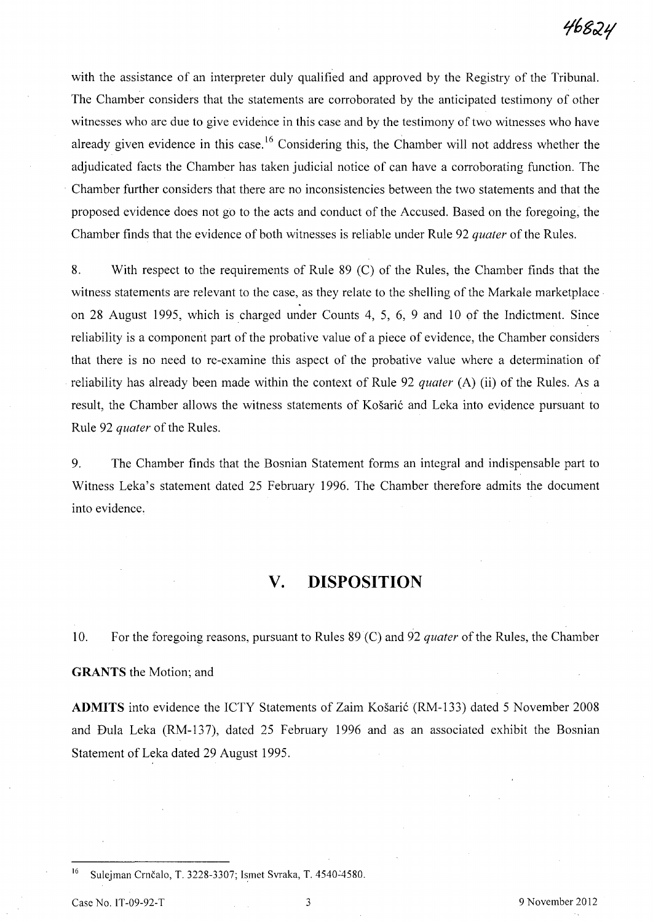with the assistance of an interpreter duly qualified and approved by the Registry of the Tribunal. The Chamber considers that the statements are corroborated by the anticipated testimony of other witnesses who are due to give evidence in this case and by the testimony of two witnesses who have already given evidence in this case.<sup>16</sup> Considering this, the Chamber will not address whether the adjudicated facts the Chamber has taken judicial notice of can have a corroborating function. The Chamber further considers that there are no inconsistencies between the two statements and that the proposed evidence does not go to the acts and conduct of the Accused. Based on the foregoing, the Chamber finds that the evidence of both witnesses is reliable under Rule 92 *quater* of the Rules.

8. With respect to the requirements of Rule 89 (C) of the Rules, the Chamber finds that the witness statements are relevant to the case, as they relate to the shelling of the Markale marketplace on 28 August 1995, which is charged under Counts 4, 5, 6, 9 and 10 of the Indictment. Since reliability is a component part of the probative value of a piece of evidence, the Chamber considers that there is no need to re-examine this aspect of the probative value where a determination of reliability has already been made within the context of Rule 92 *quater* (A) (ii) of the Rules. As a result, the Chamber allows the witness statements of Košarić and Leka into evidence pursuant to Rule 92 *quater* of the Rules.

9. The Chamber finds that the Bosnian Statement forms an integral and indispensable part to Witness Leka's statement dated 25 February 1996. The Chamber therefore admits the document into evidence.

### **v. DISPOSITION**

10. For the foregoing reasons, pursuant to Rules 89 (C) and 92 *quater* of the Rules, the Chamber **GRANTS** the Motion; and

**ADMITS** into evidence the ICTY Statements of Zaim Košarić (RM-133) dated 5 November 2008 and Dula Leka (RM-137), dated 25 February 1996 and as an associated exhibit the Bosnian Statement of Leka dated 29 August 1995.

<sup>16</sup> Sulejman Crnčalo, T. 3228-3307; Ismet Svraka, T. 4540-4580.

Case No. IT-09-92-T 3 9 November 2012